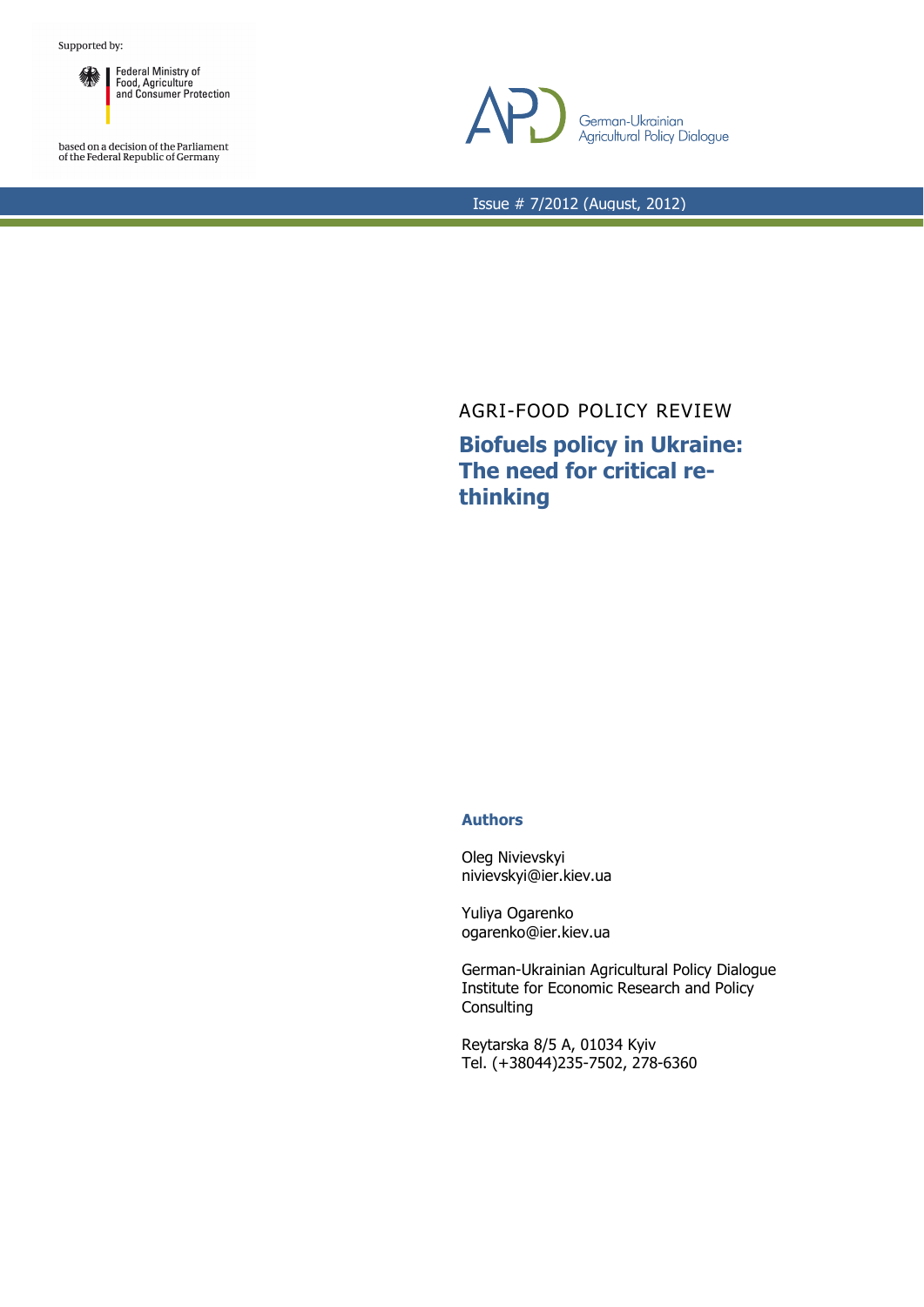

based on a decision of the Parliament<br>of the Federal Republic of Germany



Issue # 7/2012 (August, 2012)

## AGRI-FOOD POLICY REVIEW **Biofuels policy in Ukraine: The need for critical rethinking**

## **Authors**

Oleg Nivievskyi nivievskyi@ier.kiev.ua

Yuliya Ogarenko ogarenko@ier.kiev.ua

German-Ukrainian Agricultural Policy Dialogue Institute for Economic Research and Policy **Consulting** 

Reytarska 8/5 A, 01034 Kyiv Tel. (+38044)235-7502, 278-6360